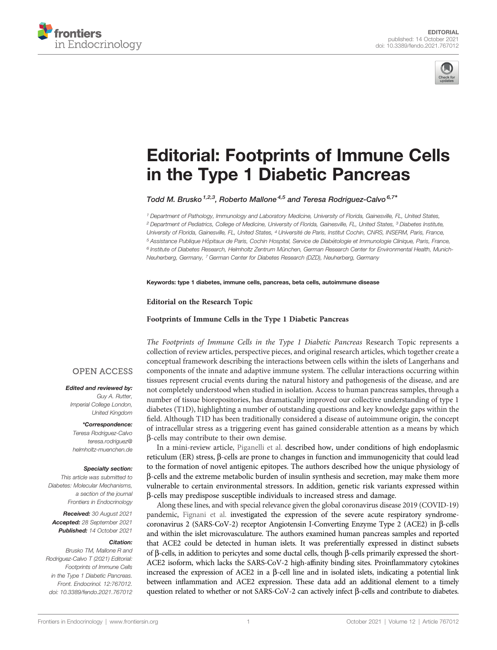



# [Editorial: Footprints of Immune Cells](https://www.frontiersin.org/articles/10.3389/fendo.2021.767012/full) [in the Type 1 Diabetic Pancreas](https://www.frontiersin.org/articles/10.3389/fendo.2021.767012/full)

Todd M. Brusko<sup>1,2,3</sup>, Roberto Mallone<sup>4,5</sup> and Teresa Rodriguez-Calvo<sup>6,7\*</sup>

<sup>1</sup> Department of Pathology, Immunology and Laboratory Medicine, University of Florida, Gainesville, FL, United States, <sup>2</sup> Department of Pediatrics, College of Medicine, University of Florida, Gainesville, FL, United States, <sup>3</sup> Diabetes Institute, University of Florida, Gainesville, FL, United States, <sup>4</sup> Université de Paris, Institut Cochin, CNRS, INSERM, Paris, France, <sup>5</sup> Assistance Publique Hôpitaux de Paris, Cochin Hospital, Service de Diabétologie et Immunologie Clinique, Paris, France, <sup>6</sup> Institute of Diabetes Research, Helmholtz Zentrum München, German Research Center for Environmental Health, Munich-Neuherberg, Germany, <sup>7</sup> German Center for Diabetes Research (DZD), Neuherberg, Germany

Keywords: type 1 diabetes, immune cells, pancreas, beta cells, autoimmune disease

Editorial on the Research Topic

[Footprints of Immune Cells in the Type 1 Diabetic Pancreas](https://www.frontiersin.org/research-topics/12174/footprints-of-immune-cells-in-the-type-1-diabetic-pancreas)

The Footprints of Immune Cells in the Type 1 Diabetic Pancreas Research Topic represents a collection of review articles, perspective pieces, and original research articles, which together create a conceptual framework describing the interactions between cells within the islets of Langerhans and components of the innate and adaptive immune system. The cellular interactions occurring within tissues represent crucial events during the natural history and pathogenesis of the disease, and are not completely understood when studied in isolation. Access to human pancreas samples, through a number of tissue biorepositories, has dramatically improved our collective understanding of type 1 diabetes (T1D), highlighting a number of outstanding questions and key knowledge gaps within the field. Although T1D has been traditionally considered a disease of autoimmune origin, the concept of intracellular stress as a triggering event has gained considerable attention as a means by which b-cells may contribute to their own demise.

In a mini-review article, [Piganelli et al.](https://doi.org/10.3389/fendo.2020.624590) described how, under conditions of high endoplasmic reticulum (ER) stress, β-cells are prone to changes in function and immunogenicity that could lead to the formation of novel antigenic epitopes. The authors described how the unique physiology of b-cells and the extreme metabolic burden of insulin synthesis and secretion, may make them more vulnerable to certain environmental stressors. In addition, genetic risk variants expressed within b-cells may predispose susceptible individuals to increased stress and damage.

Along these lines, and with special relevance given the global coronavirus disease 2019 (COVID-19) pandemic, [Fignani et al.](https://doi.org/10.3389/fendo.2020.596898) investigated the expression of the severe acute respiratory syndromecoronavirus 2 (SARS-CoV-2) receptor Angiotensin I-Converting Enzyme Type 2 (ACE2) in  $\beta$ -cells and within the islet microvasculature. The authors examined human pancreas samples and reported that ACE2 could be detected in human islets. It was preferentially expressed in distinct subsets of  $\beta$ -cells, in addition to pericytes and some ductal cells, though  $\beta$ -cells primarily expressed the short-ACE2 isoform, which lacks the SARS-CoV-2 high-affinity binding sites. Proinflammatory cytokines increased the expression of ACE2 in a  $\beta$ -cell line and in isolated islets, indicating a potential link between inflammation and ACE2 expression. These data add an additional element to a timely question related to whether or not SARS-CoV-2 can actively infect  $\beta$ -cells and contribute to diabetes.

### **OPEN ACCESS**

#### Edited and reviewed by:

Guy A. Rutter, Imperial College London, United Kingdom

#### \*Correspondence:

Teresa Rodriguez-Calvo [teresa.rodriguez@](mailto:teresa.rodriguez@helmholtz-muenchen.de) [helmholtz-muenchen.de](mailto:teresa.rodriguez@helmholtz-muenchen.de)

#### Specialty section:

This article was submitted to Diabetes: Molecular Mechanisms, a section of the journal Frontiers in Endocrinology

Received: 30 August 2021 Accepted: 28 September 2021 Published: 14 October 2021

#### Citation:

Brusko TM, Mallone R and Rodriguez-Calvo T (2021) Editorial: Footprints of Immune Cells in the Type 1 Diabetic Pancreas. Front. Endocrinol. 12:767012. [doi: 10.3389/fendo.2021.767012](https://doi.org/10.3389/fendo.2021.767012)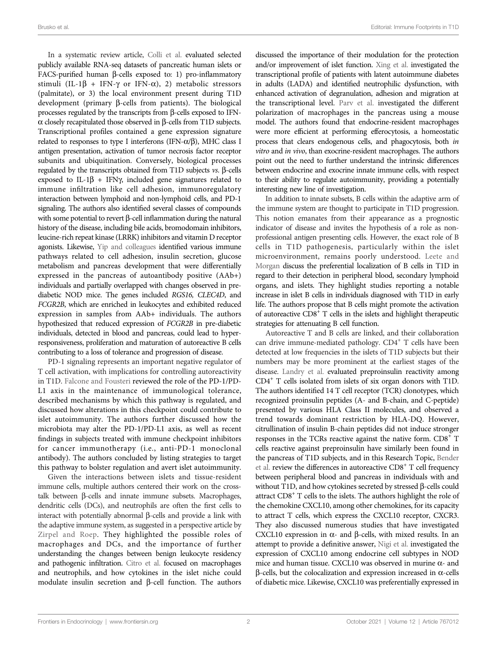In a systematic review article, [Colli et al.](https://doi.org/10.3389/fendo.2020.568446) evaluated selected publicly available RNA-seq datasets of pancreatic human islets or FACS-purified human  $\beta$ -cells exposed to: 1) pro-inflammatory stimuli (IL-1 $\beta$  + IFN- $\gamma$  or IFN- $\alpha$ ), 2) metabolic stressors (palmitate), or 3) the local environment present during T1D development (primary  $\beta$ -cells from patients). The biological processes regulated by the transcripts from  $\beta$ -cells exposed to IFN- $\alpha$  closely recapitulated those observed in  $\beta$ -cells from T1D subjects. Transcriptional profiles contained a gene expression signature related to responses to type I interferons (IFN- $\alpha$ / $\beta$ ), MHC class I antigen presentation, activation of tumor necrosis factor receptor subunits and ubiquitination. Conversely, biological processes regulated by the transcripts obtained from T1D subjects  $v$ s.  $\beta$ -cells exposed to IL-1 $\beta$  + IFN $\gamma$ , included gene signatures related to immune infiltration like cell adhesion, immunoregulatory interaction between lymphoid and non-lymphoid cells, and PD-1 signaling. The authors also identified several classes of compounds with some potential to revert  $\beta$ -cell inflammation during the natural history of the disease, including bile acids, bromodomain inhibitors, leucine-rich repeat kinase (LRRK) inhibitors and vitamin D receptor agonists. Likewise, [Yip and colleagues](https://doi.org/10.3389/fendo.2020.609271) identified various immune pathways related to cell adhesion, insulin secretion, glucose metabolism and pancreas development that were differentially expressed in the pancreas of autoantibody positive (AAb+) individuals and partially overlapped with changes observed in prediabetic NOD mice. The genes included RGS16, CLEC4D, and FCGR2B, which are enriched in leukocytes and exhibited reduced expression in samples from AAb+ individuals. The authors hypothesized that reduced expression of FCGR2B in pre-diabetic individuals, detected in blood and pancreas, could lead to hyperresponsiveness, proliferation and maturation of autoreactive B cells contributing to a loss of tolerance and progression of disease.

PD-1 signaling represents an important negative regulator of T cell activation, with implications for controlling autoreactivity in T1D. [Falcone and Fousteri](https://doi.org/10.3389/fendo.2020.00569) reviewed the role of the PD-1/PD-L1 axis in the maintenance of immunological tolerance, described mechanisms by which this pathway is regulated, and discussed how alterations in this checkpoint could contribute to islet autoimmunity. The authors further discussed how the microbiota may alter the PD-1/PD-L1 axis, as well as recent findings in subjects treated with immune checkpoint inhibitors for cancer immunotherapy (i.e., anti-PD-1 monoclonal antibody). The authors concluded by listing strategies to target this pathway to bolster regulation and avert islet autoimmunity.

Given the interactions between islets and tissue-resident immune cells, multiple authors centered their work on the crosstalk between  $\beta$ -cells and innate immune subsets. Macrophages, dendritic cells (DCs), and neutrophils are often the first cells to interact with potentially abnormal  $\beta$ -cells and provide a link with the adaptive immune system, as suggested in a perspective article by [Zirpel and Roep](https://doi.org/10.3389/fendo.2021.666795). They highlighted the possible roles of macrophages and DCs, and the importance of further understanding the changes between benign leukocyte residency and pathogenic infiltration. [Citro et al.](https://doi.org/10.3389/fendo.2020.606332) focused on macrophages and neutrophils, and how cytokines in the islet niche could modulate insulin secretion and  $\beta$ -cell function. The authors

discussed the importance of their modulation for the protection and/or improvement of islet function. [Xing et al.](https://doi.org/10.3389/fendo.2020.581902) investigated the transcriptional profile of patients with latent autoimmune diabetes in adults (LADA) and identified neutrophilic dysfunction, with enhanced activation of degranulation, adhesion and migration at the transcriptional level. [Parv et al.](https://doi.org/10.3389/fendo.2021.606175) investigated the different polarization of macrophages in the pancreas using a mouse model. The authors found that endocrine-resident macrophages were more efficient at performing efferocytosis, a homeostatic process that clears endogenous cells, and phagocytosis, both in vitro and in vivo, than exocrine-resident macrophages. The authors point out the need to further understand the intrinsic differences between endocrine and exocrine innate immune cells, with respect to their ability to regulate autoimmunity, providing a potentially interesting new line of investigation.

In addition to innate subsets, B cells within the adaptive arm of the immune system are thought to participate in T1D progression. This notion emanates from their appearance as a prognostic indicator of disease and invites the hypothesis of a role as nonprofessional antigen presenting cells. However, the exact role of B cells in T1D pathogenesis, particularly within the islet microenvironment, remains poorly understood. [Leete and](https://doi.org/10.3389/fendo.2021.617437) [Morgan](https://doi.org/10.3389/fendo.2021.617437) discuss the preferential localization of B cells in T1D in regard to their detection in peripheral blood, secondary lymphoid organs, and islets. They highlight studies reporting a notable increase in islet B cells in individuals diagnosed with T1D in early life. The authors propose that B cells might promote the activation of autoreactive  $CD8<sup>+</sup>$  T cells in the islets and highlight therapeutic strategies for attenuating B cell function.

Autoreactive T and B cells are linked, and their collaboration can drive immune-mediated pathology. CD4+ T cells have been detected at low frequencies in the islets of T1D subjects but their numbers may be more prominent at the earliest stages of the disease. [Landry et al.](https://doi.org/10.3389/fendo.2021.622647) evaluated preproinsulin reactivity among CD4+ T cells isolated from islets of six organ donors with T1D. The authors identified 14 T cell receptor (TCR) clonotypes, which recognized proinsulin peptides (A- and B-chain, and C-peptide) presented by various HLA Class II molecules, and observed a trend towards dominant restriction by HLA-DQ. However, citrullination of insulin B-chain peptides did not induce stronger responses in the TCRs reactive against the native form. CD8<sup>+</sup> T cells reactive against preproinsulin have similarly been found in the pancreas of T1D subjects, and in this Research Topic, [Bender](https://doi.org/10.3389/fendo.2020.606434) [et al.](https://doi.org/10.3389/fendo.2020.606434) review the differences in autoreactive CD8<sup>+</sup> T cell frequency between peripheral blood and pancreas in individuals with and without T1D, and how cytokines secreted by stressed  $\beta$ -cells could attract CD8+ T cells to the islets. The authors highlight the role of the chemokine CXCL10, among other chemokines, for its capacity to attract T cells, which express the CXCL10 receptor, CXCR3. They also discussed numerous studies that have investigated CXCL10 expression in  $\alpha$ - and  $\beta$ -cells, with mixed results. In an attempt to provide a definitive answer, [Nigi et al.](https://doi.org/10.3389/fendo.2020.00630) investigated the expression of CXCL10 among endocrine cell subtypes in NOD mice and human tissue. CXCL10 was observed in murine  $\alpha$ - and  $\beta$ -cells, but the colocalization and expression increased in  $\alpha$ -cells of diabetic mice. Likewise, CXCL10 was preferentially expressed in